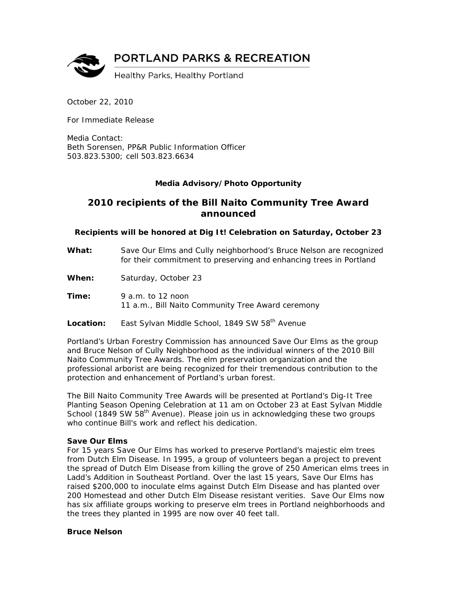

October 22, 2010

For Immediate Release

Media Contact: Beth Sorensen, PP&R Public Information Officer 503.823.5300; cell 503.823.6634

# *Media Advisory/Photo Opportunity*

# **2010 recipients of the Bill Naito Community Tree Award announced**

## **Recipients will be honored at Dig It! Celebration on Saturday, October 23**

- **What:** Save Our Elms and Cully neighborhood's Bruce Nelson are recognized for their commitment to preserving and enhancing trees in Portland
- **When:** Saturday, October 23
- **Time:** 9 a.m. to 12 noon 11 a.m., Bill Naito Community Tree Award ceremony
- Location: East Sylvan Middle School, 1849 SW 58<sup>th</sup> Avenue

Portland's Urban Forestry Commission has announced Save Our Elms as the group and Bruce Nelson of Cully Neighborhood as the individual winners of the 2010 Bill Naito Community Tree Awards. The elm preservation organization and the professional arborist are being recognized for their tremendous contribution to the protection and enhancement of Portland's urban forest.

The Bill Naito Community Tree Awards will be presented at Portland's Dig-It Tree Planting Season Opening Celebration at 11 am on October 23 at East Sylvan Middle School (1849 SW 58<sup>th</sup> Avenue). Please join us in acknowledging these two groups who continue Bill's work and reflect his dedication.

#### **Save Our Elms**

For 15 years Save Our Elms has worked to preserve Portland's majestic elm trees from Dutch Elm Disease. In 1995, a group of volunteers began a project to prevent the spread of Dutch Elm Disease from killing the grove of 250 American elms trees in Ladd's Addition in Southeast Portland. Over the last 15 years, Save Our Elms has raised \$200,000 to inoculate elms against Dutch Elm Disease and has planted over 200 Homestead and other Dutch Elm Disease resistant verities. Save Our Elms now has six affiliate groups working to preserve elm trees in Portland neighborhoods and the trees they planted in 1995 are now over 40 feet tall.

## **Bruce Nelson**